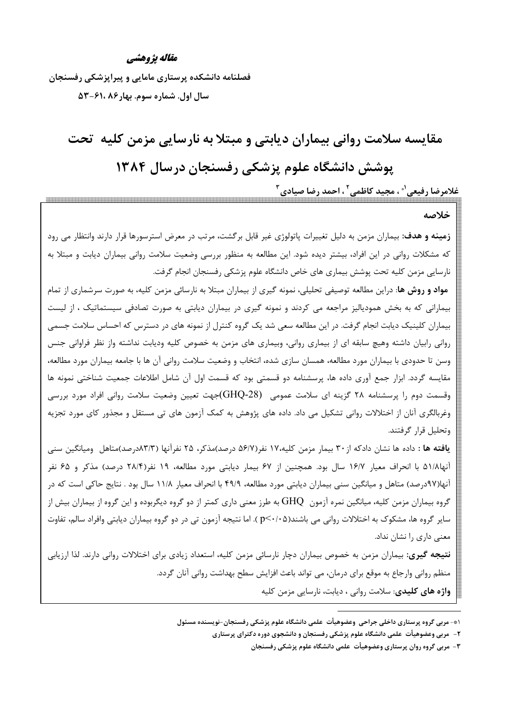#### مقاله يژوهشي

فصلنامه دانشکده پرستاری مامایی و پیراپزشکی رفسنجان سال اول. شماره سوم. بهار ۸۶ ،۶۱-۵۳

# مقایسه سلامت روانی بیماران دیابتی و مبتلا به نارسایی مزمن کلیه تحت پوشش دانشگاه علوم پزشکی رفسنجان درسال ۱۳۸۴

غلامرضا رفيعي'۞ ، مجيد كاظمي' ، احمد رضا صيادي "

#### خلاصه

**زمینه و هدف:** بیماران مزمن به دلیل تغییرات پاتولوژی غیر قابل برگشت، مرتب در معرض استرسورها قرار دارند وانتظار می رود که مشکلات روانی در این افراد، بیشتر دیده شود. این مطالعه به منظور بررسی وضعیت سلامت روانی بیماران دیابت و مبتلا به نارسایی مزمن کلیه تحت پوشش بیماری های خاص دانشگاه علوم پزشکی رفسنجان انجام گرفت.

**مواد و روش ها**: دراین مطالعه توصیفی تحلیلی، نمونه گیری از بیماران مبتلا به نارسائی مزمن کلیه، به صورت سرشماری از تمام بیمارانی که به بخش همودیالیز مراجعه می کردند و نمونه گیری در بیماران دیابتی به صورت تصادفی سیستماتیک ، از لیست بیماران کلینیک دیابت انجام گرفت. در این مطالعه سعی شد یک گروه کنترل از نمونه های در دسترس که احساس سلامت جسمی روانی رابیان داشته وهیچ سابقه ای از بیماری روانی، وبیماری های مزمن به خصوص کلیه ودیابت نداشته واز نظر فراوانی جنس وسن تا حدودی با بیماران مورد مطالعه، همسان سازی شده، انتخاب و وضعیت سلامت روانی آن ها با جامعه بیماران مورد مطالعه، مقایسه گردد. ابزار جمع اًوری داده ها، پرسشنامه دو قسمتی بود که قسمت اول اًن شامل اطلاعات جمعیت شناختی نمونه ها وقسمت دوم را پرسشنامه ۲۸ گزینه ای سلامت عمومی۔(GHQ-28)جهت تعیین وضعیت سلامت روانی افراد مورد بررسی وغربالگری آنان از اختلالات روانی تشکیل می داد. داده های پژوهش به کمک آزمون های تی مستقل و مجذور کای مورد تجزیه وتحليل قرار گرفتند.

يافته ها : داده ها نشان دادكه از ۳۰ بيمار مزمن كليه،١٧ نفر(٥۶/٧ درصد)مذكر، ٢۵ نفرآنها (٨٣/٣درصد)متاهل وميانگين سني آنها۹۱/۸ با انحراف معیار ۱۶/۷ سال بود. همچنین از ۶۷ بیمار دیابتی مورد مطالعه، ۱۹ نفر(۲۸/۴ درصد) مذکر و ۶۵ نفر آنها(۹۷درصد) متاهل و میانگین سنی بیماران دیابتی مورد مطالعه، ۴۹/۹ با انحراف معیار ۱۱/۸ سال بود . نتایج حاکی است که در گروه بیماران مزمن کلیه، میانگین نمره آزمون  $\rm GHQ$  به طرز معنی داری کمتر از دو گروه دیگربوده و این گروه از بیماران بیش از سایر گروه ها، مشکوک به اختلالات روانی می باشند(p<۰/۰۵). اما نتیجه آزمون تی در دو گروه بیماران دیابتی وافراد سالم، تفاوت معنی داری را نشان نداد.

**نتیجه گیری:** بیماران مزمن به خصوص بیماران دچار نارسائی مزمن کلیه، استعداد زیادی برای اختلالات روانی دارند. لذا ارزیابی منظم روانی وارجاع به موقع برای درمان، می تواند باعث افزایش سطح بهداشت روانی آنان گردد. واژه های کلیدی: سلامت روانی ، دیابت، نارسایی مزمن کلیه

۱\*- مربی گروه پرستاری داخلی جراحی وعضوهیأت علمی دانشگاه علوم پزشکی رفسنجان-نویسنده مسئول

۲- ً مربی وعضوهیأت علمی دانشگاه علوم پزشکی رفسنجان و دانشجوی دوره دکترای پرستاری

۳- مربی گروه روان پرستاری وعضوهیأت علمی دانشگاه علوم پزشکی رفسنجان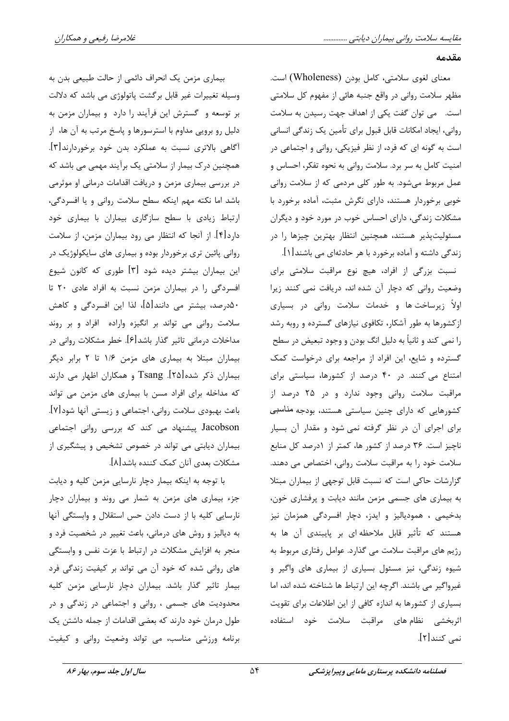مقدمه

معناي لغوي سلامتي، كامل بودن (Wholeness) است. مظهر سلامت رواني در واقع جنبه هائي از مفهوم كل سلامتي است. می توان گفت یکی از اهداف جهت رسیدن به سلامت روانی، ایجاد امکانات قابل قبول برای تأمین یک زندگی انسانی است به گونه ای که فرد، از نظر فیزیکی، روانی و اجتماعی در امنیت کامل به سر برد. سلامت روانی به نحوه تفکر، احساس و عمل مربوط می شود. به طور کلی مردمی که از سلامت روانی خوبی برخوردار هستند، دارای نگرش مثبت، آماده برخورد با مشکلات زندگی، دارای احساس خوب در مورد خود و دیگران مسئولیتپذیر هستند، همچنین انتظار بهترین چیزها را در

زندگی داشته و آماده برخورد با هر حادثهای می باشند[۱]. نسبت بزرگی از افراد، هیچ نوع مراقبت سلامتی برای وضعیت روانی که دچار آن شده اند، دریافت نمی کنند زیرا اولاً زیرساخت ها و خدمات سلامت روانی در بسیاری ازکشورها به طور آشکار، تکافوی نیازهای گسترده و روبه رشد را نمي كند و ثانياً به دليل انگ بودن و وجود تبعيض در سطح گسترده و شایع، این افراد از مراجعه برای درخواست کمک امتناع می کنند. در ۴۰ درصد از کشورها، سیاستی برای مراقبت سلامت روانی وجود ندارد و در ۲۵ درصد از کشورهایی که دارای چنین سیاستی هستند، بودجه مناسبی برای اجرای آن در نظر گرفته نمی شود و مقدار آن بسیار ناچیز است. ۳۶ درصد از کشور ها، کمتر از ۱درصد کل منابع سلامت خود را به مراقبت سلامت روانی، اختصاص می دهند. گزارشات حاکی است که نسبت قابل توجهی از بیماران مبتلا به بیماری های جسمی مزمن مانند دیابت و پرفشاری خون، بدخیمی ، همودیالیز و ایدز، دچار افسردگی همزمان نیز هستند که تأثیر قابل ملاحظه|ی بر پایبندی آن ها به رژیم های مراقبت سلامت می گذارد. عوامل رفتاری مربوط به شیوه زندگی، نیز مسئول بسیاری از بیماری های واگیر و غیرواگیر می باشند. اگرچه این ارتباط ها شناخته شده اند، اما بسیاری از کشورها به اندازه کافی از این اطلاعات برای تقویت اثربخشی نظام های مراقبت سلامت خود استفاده نمي کنند[۲].

بیماری مزمن یک انحراف دائمی از حالت طبیعی بدن به وسیله تغییرات غیر قابل برگشت پاتولوژی می باشد که دلالت بر توسعه و گسترش این فرآیند را دارد و بیماران مزمن به دلیل رو برویی مداوم با استرسورها و پاسخ مرتب به آن ها، از آگاهی بالاتری نسبت به عملکرد بدن خود برخوردارند[۳]. همچنین درک بیمار از سلامتی یک برآیند مهمی می باشد که در بررسی بیماری مزمن و دریافت اقدامات درمانی او موثرمی باشد اما نكته مهم اينكه سطح سلامت رواني ويا افسردگي، ارتباط زیادی با سطح سازگاری بیماران با بیماری خود دارد[۴]. از آنجا که انتظار می رود بیماران مزمن، از سلامت روانی پائین تری برخوردار بوده و بیماری های سایکولوژیک در این بیماران بیشتر دیده شود [۳] طوری که کانون شیوع افسردگی را در بیماران مزمن نسبت به افراد عادی ٢٠ تا ۵۰درصد، بیشتر می دانند[۵]، لذا این افسردگی و کاهش سلامت روانی می تواند بر انگیزه واراده افراد و بر روند مداخلات درمانی تاثیر گذار باشد[۶]. خطر مشکلات روانی در بیماران مبتلا به بیماری های مزمن ١/۶ تا ٢ برابر دیگر بیماران ذکر شده[۲۵]. Tsang و همکاران اظهار می دارند که مداخله برای افراد مسن با بیماری های مزمن می تواند باعث بهبودي سلامت رواني، اجتماعي و زيستي آنها شود[٧]. Jacobson پیشنهاد می کند که بررسی روانی اجتماعی بیماران دیابتی می تواند در خصوص تشخیص و پیشگیری از مشكلات بعدي آنان كمك كننده باشد[٨].

با توجه به اینکه بیمار دچار نارسایی مزمن کلیه و دیابت جزء بیماری های مزمن به شمار می روند و بیماران دچار نارسایی کلیه با از دست دادن حس استقلال و وابستگی آنها به دیالیز و روش های درمانی، باعث تغییر در شخصیت فرد و منجر به افزایش مشکلات در ارتباط با عزت نفس و وابستگی های روانی شده که خود آن می تواند بر کیفیت زندگی فرد بیمار تاثیر گذار باشد. بیماران دچار نارسایی مزمن کلیه محدودیت های جسمی ، روانی و اجتماعی در زندگی و در طول درمان خود دارند که بعضی اقدامات از جمله داشتن یک برنامه ورزشی مناسب، می تواند وضعیت روانی و کیفیت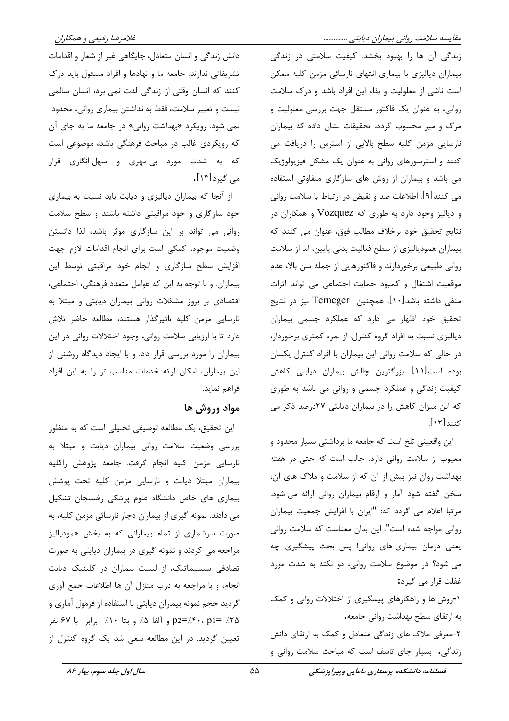زندگی آن ها را بهبود بخشد. کیفیت سلامتی در زندگی بیماران دیالیزی با بیماری انتهای نارسائی مزمن کلیه ممکن است ناشی از معلولیت و بقاء این افراد باشد و درک سلامت روانی، به عنوان یک فاکتور مستقل جهت بررسی معلولیت و مرگ و میر محسوب گردد. تحقیقات نشان داده که بیماران نارسایی مزمن کلیه سطح بالایی از استرس را دریافت می کنند و استرسورهای روانی به عنوان یک مشکل فیزیولوژیک می باشد و بیماران از روش های سازگاری متفاوتی استفاده می کنند[۹]. اطلاعات ضد و نقیض در ارتباط با سلامت روانی و دیالیز وجود دارد به طوری که Vozquez و همکاران در نتايج تحقيق خود برخلاف مطالب فوق، عنوان مي كنند كه بیماران همودیالیزی از سطح فعالیت بدنی پایین، اما از سلامت روانی طبیعی برخوردارند و فاکتورهایی از جمله سن بالا، عدم موقعیت اشتغال و کمبود حمایت اجتماعی می تواند اثرات منفی داشته باشد[۱۰]. همچنین Terneger نیز در نتایج تحقیق خود اظهار می دارد که عملکرد جسمی بیماران دیالیزی نسبت به افراد گروه کنترل، از نمره کمتری برخوردار، در حالی که سلامت روانی این بیماران با افراد کنترل یکسان بوده است[۱۱]. بزرگترین چالش بیماران دیابتی کاهش کیفیت زندگی و عملکرد جسمی و روانی می باشد به طوری که این میزان کاهش را در بیماران دیابتی ۲۷درصد ذکر می کنند[۱۲].

این واقعیتی تلخ است که جامعه ما برداشتی بسیار محدود و معیوب از سلامت روانی دارد. جالب است که حتی در هفته بهداشت روان نیز بیش از آن که از سلامت و ملاک های آن، سخن گفته شود آمار و ارقام بیماران روانی ارائه می شود. مرتبا اعلام می گردد که: "ایران با افزایش جمعیت بیماران روانی مواجه شده است". این بدان معناست که سلامت روانی یعنی درمان بیماری های روانی! پس بحث پیشگیری چه می شود؟ در موضوع سلامت روانی، دو نکته به شدت مورد غفلت قرار می گیرد: ۱-روش ها و راهکارهای پیشگیری از اختلالات روانی و کمک

به ارتقای سطح بهداشت روانی جامعه. ۲-معرفی ملاک های زندگی متعادل و کمک به ارتقای دانش زندگی. بسیار جای تاسف است که مباحث سلامت روانی و

دانش زندگی و انسان متعادل، جایگاهی غیر از شعار و اقدامات تشریفاتی ندارند. جامعه ما و نهادها و افراد مسئول باید درک کنند که انسان وقتی از زندگی لذت نمی برد، انسان سالمی نیست و تعبیر سلامت، فقط به نداشتن بیماری روانی، محدود نمی شود. رویکرد «بهداشت روانی» در جامعه ما به جای آن که رویکردی غالب در مباحث فرهنگی باشد، موضوعی است که به شدت مورد بیِ مهری و سهلانگاری قرار می گیرد[۱۳].

از آنجا که بیماران دیالیزی و دیابت باید نسبت به بیماری خود سازگاری و خود مراقبتی داشته باشند و سطح سلامت روانی می تواند بر این سازگاری موثر باشد، لذا دانستن وضعیت موجود، کمکی است برای انجام اقدامات لازم جهت افزایش سطح سازگاری و انجام خود مراقبتی توسط این بیماران. و با توجه به این که عوامل متعدد فرهنگی، اجتماعی، اقتصادی بر بروز مشکلات روانی بیماران دیابتی و مبتلا به نارسایی مزمن کلیه تاثیرگذار هستند، مطالعه حاضر تلاش دارد تا با ارزیابی سلامت روانی، وجود اختلالات روانی در این بیماران را مورد بررسی قرار داد. و با ایجاد دیدگاه روشنی از این بیماران، امکان ارائه خدمات مناسب تر را به این افراد فراهم نمايد.

# مواد وروش ها

این تحقیق، یک مطالعه توصیفی تحلیلی است که به منظور بررسی وضعیت سلامت روانی بیماران دیابت و مبتلا به نارسايي مزمن كليه انجام گرفت. جامعه پژوهش راكليه بیماران مبتلا دیابت و نارسایی مزمن کلیه تحت پوشش بیماری های خاص دانشگاه علوم پزشکی رفسنجان تشکیل می دادند. نمونه گیری از بیماران دچار نارسائی مزمن کلیه، به صورت سرشماری از تمام بیمارانی که به بخش همودیالیز مراجعه می کردند و نمونه گیری در بیماران دیابتی به صورت تصادفی سیستماتیک، از لیست بیماران در کلینیک دیابت انجام، و با مراجعه به درب منازل آن ها اطلاعات جمع آوری گردید حجم نمونه بیماران دیابتی با استفاده از فرمول آماری و ۲۵٪ =p2='/۴۰، p1) و آلفا ۵٪ و بتا ۱۰٪ برابر با ۶۷ نفر تعیین گردید. در این مطالعه سعی شد یک گروه کنترل از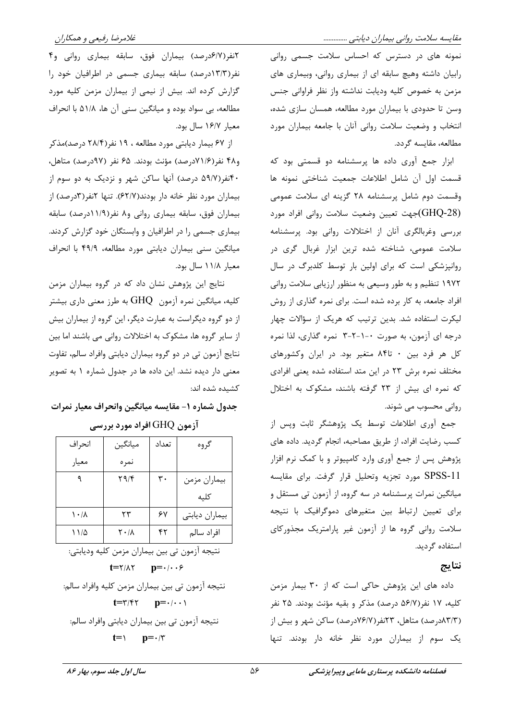نمونه های در دسترس که احساس سلامت جسمی روانی رابیان داشته وهیچ سابقه ای از بیماری روانی، وبیماری های مزمن به خصوص كليه وديابت نداشته واز نظر فراواني جنس وسن تا حدودی با بیماران مورد مطالعه، همسان سازی شده، انتخاب و وضعیت سلامت روانی آنان با جامعه بیماران مورد مطالعه، مقايسه گردد.

ابزار جمع آوری داده ها پرسشنامه دو قسمتی بود که قسمت اول آن شامل اطلاعات جمعيت شناختى نمونه ها وقسمت دوم شامل پرسشنامه ٢٨ كزينه اى سلامت عمومى (GHQ-28)جهت تعيين وضعيت سلامت رواني افراد مورد بررسی وغربالگری آنان از اختلالات روانی بود. پرسشنامه سلامت عمومی، شناخته شده ترین ابزار غربال گری در روانپزشکی است که برای اولین بار توسط کلدبرگ در سال ۱۹۷۲ تنظیم و به طور وسیعی به منظور ارزیابی سلامت روانی افراد جامعه، به کار برده شده است. برای نمره گذاری از روش لیکرت استفاده شد. بدین ترتیب که هریک از سؤالات چهار درجه ای آزمون، به صورت ۰-۱-۲-۳ نمره گذاری، لذا نمره کل هر فرد بین ۰ تا۸۴ متغیر بود. در ایران وکشورهای مختلف نمره برش ٢٣ در اين متد استفاده شده يعني افرادي که نمره ای بیش از ۲۳ گرفته باشند، مشکوک به اختلال روانی محسوب می شوند.

جمع آوری اطلاعات توسط یک پژوهشگر ثابت وپس از كسب رضايت افراد، از طريق مصاحبه، انجام گرديد. داده هاي پژوهش پس از جمع آوری وارد کامپیوتر و با کمک نرم افزار SPSS-11 مورد تجزيه وتحليل قرار گرفت. براي مقايسه میانگین نمرات پرسشنامه در سه گروه، از آزمون تی مستقل و برای تعیین ارتباط بین متغیرهای دموگرافیک با نتیجه سلامت روانی گروه ها از آزمون غیر پارامتریک مجذورکای استفاده گردید.

#### نتايج

داده های این پژوهش حاکی است که از ۳۰ بیمار مزمن كليه، ١٧ نفر(۵۶/۷ درصد) مذكر و بقيه مؤنث بودند. ٢۵ نفر (۸۳/۳درصد) متاهل، ۲۳نفر(۷۶/۷درصد) ساکن شهر و بیش از یک سوم از بیماران مورد نظر خانه دار بودند. تنها

۲نفر(۶/۷درصد) بیماران فوق، سابقه بیماری روانی و۴ نفر(۱۳/۳درصد) سابقه بیماری جسمی در اطرافیان خود را گزارش کرده اند. بیش از نیمی از بیماران مزمن کلیه مورد مطالعه، بي سواد بوده و ميانگين سني آن ها، ۵۱/۸ با انحراف معيار ١۶/٧ سال بود.

از ۶۷ بیمار دیابتی مورد مطالعه ، ۱۹ نفر(۲۸/۴ درصد)مذکر و۴۸ نفر(۷۱/۶درصد) مؤنث بودند. ۶۵ نفر (۹۷درصد) متاهل، ۴۰نفر(۵۹/۷ درصد) آنها ساکن شهر و نزدیک به دو سوم از بیماران مورد نظر خانه دار بودند(۶۲/۷). تنها ۲نفر(۳درصد) از بیماران فوق، سابقه بیماری روانی و ۸ نفر(۱۱/۹درصد) سابقه بیماری جسمی را در اطرافیان و وابستگان خود گزارش کردند. میانگین سنی بیماران دیابتی مورد مطالعه، ۴۹/۹ با انحراف معيار ١١/٨ سال بود.

نتایج این پژوهش نشان داد که در گروه بیماران مزمن کلیه، میانگین نمره آزمون GHQ به طرز معنی داری بیشتر از دو گروه دیگراست به عبارت دیگر، این گروه از بیماران بیش از سایر گروه ها، مشکوک به اختلالات روانی می باشند اما بین نتایج آزمون تی در دو گروه بیماران دیابتی وافراد سالم، تفاوت معنی دار دیده نشد. این داده ها در جدول شماره ۱ به تصویر كشيده شده اند:

جدول شماره ١- مقايسه ميانگين وانحراف معيار نمرات

| آزمون GHQ افراد مورد بررسی |  |  |  |
|----------------------------|--|--|--|
|----------------------------|--|--|--|

| انحراف                    | ميانگين | تعداد | گروه           |
|---------------------------|---------|-------|----------------|
| معيار                     | نمره    |       |                |
|                           | ۲۹/۴    | ٣٠    | بيماران مزمن   |
|                           |         |       | كليه           |
| $\lambda \cdot / \lambda$ | ۲۳      | ۶۷    | بيماران ديابتي |
| $11/\Delta$               | ۲۰/۸    | ۴۲    | افراد سالم     |

نتیجه ازمون تی بین بیماران مزمن کلیه ودیابتی:  $t = \frac{1}{2}$ نتيجه آزمون تي بين بيماران مزمن كليه وافراد سالم:  $t = \tau/\tau \tau$   $p = \cdot/\cdot \cdot \tau$ نتيجه آزمون تي بين بيماران ديابتي وافراد سالم:  $t = \sqrt{ }$  $p = \cdot$ /٣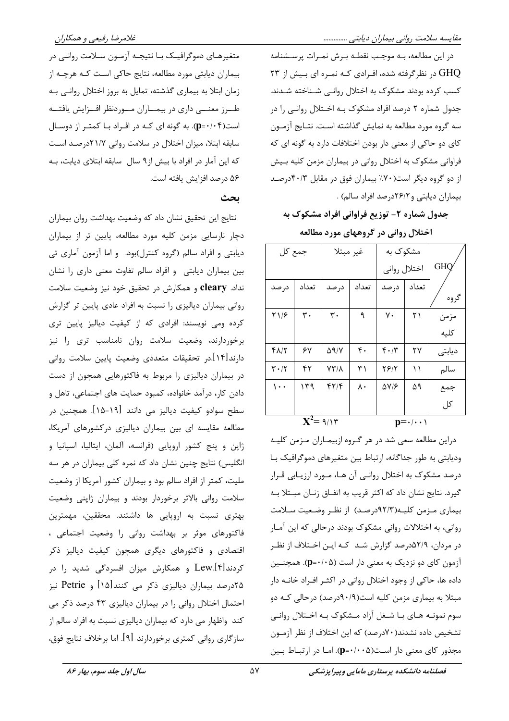در این مطالعه، بـه موجـب نقطـه بـرش نمـرات پرسـشنامه GHQ در نظر گرفته شده، افـرادی کـه نمـره ای بـیش از ۲۳ کسب کرده بودند مشکوک به اختلال روانبی شـناخته شـدند. جدول شماره ۲ درصد افراد مشکوک بـه اخـتلال روانـی را در سه گروه مورد مطالعه به نمایش گذاشته است. نتـایج آزمـون کای دو حاکی از معنی دار بودن اختلافات دارد به گونه ای که فراوانی مشکوک به اختلال روانی در بیماران مزمن کلیه بـیش از دو گروه دیگر است(۷۰٪ بیماران فوق در مقابل ۴۰/۳درصد بيماران ديابتي و٢٤/٢درصد افراد سالم).

جدول شماره ۲- توزیع فراوانی افراد مشکوک به

اختلال روانی در گروههای مورد مطالعه

| جمع کل                        |       | غير مبتلا            |                  | مشکوک به         |       |            |
|-------------------------------|-------|----------------------|------------------|------------------|-------|------------|
|                               |       |                      |                  | اختلال رواني     |       | <b>GHO</b> |
| درصد                          | تعداد | در صد                | تعداد            | در صد            | تعداد | گروه       |
| ۲۱۶                           | ٣٠    | ۳۰                   | ٩                | ٧٠               | ۲۱    | مزمن       |
|                               |       |                      |                  |                  |       | كليه       |
|                               |       |                      |                  |                  |       |            |
| 41/1                          | ۶۷    | $\Delta$ 9/Y         | $\mathfrak{r}$ . | $f \cdot / \tau$ | ۲۷    | دیابتی     |
| $\mathbf{r} \cdot \mathbf{r}$ | ۴۲    | $YY/\lambda$         | ۳۱               | 28/1             | ۱۱    | سالم       |
| $\cdots$                      | ۱۳۹   | $f\uparrow/\uparrow$ | ٨٠               | $\Delta V/F$     | ۵۹    | جمع        |
|                               |       |                      |                  |                  |       | کل         |
| $X^2 = 9/15$<br>$n = 1$       |       |                      |                  |                  |       |            |

دراین مطالعه سعی شد در هر گـروه ازبیمـاران مـزمن کلیـه ودیابتی به طور جداگانه، ارتباط بین متغیرهای دموگرافیک بـا درصد مشکوک به اختلال روانبی آن هـا، مـورد ارزیـابی قـرار گیرد. نتایج نشان داد که اکثر قریب به اتفاق زنـان مبـتلا بـه بیماری مزمن کلیـه(۹۲/۳درصـد) از نظـر وضـعیت سـلامت روانی، به اختلالات روانی مشکوک بودند درحالی که این آمـار در مردان، ۵۲/۹درصد گزارش شـد کـه ايـن اخـتلاف از نظـر آزمون کای دو نزدیک به معنی دار است (p=٠/٠۵). همچنـین داده ها، حاکی از وجود اختلال روانی در اکثـر افـراد خانـه دار مبتلا به بیماری مزمن کلیه است(۹۰/۹درصد) درحالی کـه دو سوم نمونـه هـاي بـا شـغل آزاد مـشكوک بـه اخـتلال روانـي تشخیص داده نشدند( ۷۰درصد) که این اختلاف از نظر آزمـون مجذور کای معنی دار است(p=٠/٠٠۵). امـا در ارتبـاط بـین

متغیرهـای دموگرافیـک بـا نتیجـه آزمـون سـلامت روانـی در بیماران دیابتی مورد مطالعه، نتایج حاکی است کـه هرچـه از زمان ابتلا به بیماری گذشته، تمایل به بروز اختلال روانبی بـه طـرز معنـــی داری در بیمــاران مــوردنظر افــزایش یافتــه است(p=٠/٠۴). به گونه ای کـه در افـراد بـا کمتـر از دوسـال سابقه ابتلا، میزان اختلال در سلامت روانی ۲۱/۷درصد است که این آمار در افراد با بیش از۹ سال ِ سابقه ابتلای دیابت، بـه ۵۶ درصد افزايش يافته است.

#### ىحث

نتايج اين تحقيق نشان داد كه وضعيت بهداشت روان بيماران دچار نارسایی مزمن کلیه مورد مطالعه، پایین تر از بیماران دیابتی و افراد سالم (گروه کنترل)بود. و اما آزمون آماری تی بین بیماران دیابتی و افراد سالم تفاوت معنی داری را نشان نداد. cleary و همکارش در تحقیق خود نیز وضعیت سلامت روانی بیماران دیالیزی را نسبت به افراد عادی پایین تر گزارش کرده ومی نویسند: افرادی که از کیفیت دیالیز پایین تری برخوردارند، وضعیت سلامت روان نامناسب تری را نیز دارند[۱۴].در تحقیقات متعددی وضعیت پایین سلامت روانی در بیماران دیالیزی را مربوط به فاکتورهایی همچون از دست دادن کار، درآمد خانواده، کمبود حمایت های اجتماعی، تاهل و سطح سوادو کیفیت دیالیز می دانند [۱۹-۱۵]. همچنین در مطالعه مقایسه ای بین بیماران دیالیزی درکشورهای آمریکا، ژاپن و پنج کشور اروپایی (فرانسه، آلمان، ایتالیا، اسپانیا و انگلیس) نتایج چنین نشان داد که نمره کلی بیماران در هر سه ملیت، کمتر از افراد سالم بود و بیماران کشور آمریکا از وضعیت سلامت روانی بالاتر برخوردار بودند و بیماران ژاپنی وضعیت بهتری نسبت به اروپایی ها داشتند. محققین، مهمترین فاکتورهای موثر بر بهداشت روانی را وضعیت اجتماعی ، اقتصادی و فاکتورهای دیگری همچون کیفیت دیالیز ذکر کردند[۴].Lew و همکارش میزان افسردگی شدید را در ۲۵درصد بیماران دیالیزی ذکر می کنند[۱۵] و Petrie نیز احتمال اختلال روانی را در بیماران دیالیزی ۴۳ درصد ذکر می کند واظهار می دارد که بیماران دیالیزی نسبت به افراد سالم از سازگاری روانی کمتری برخوردارند [۹]. اما برخلاف نتایج فوق،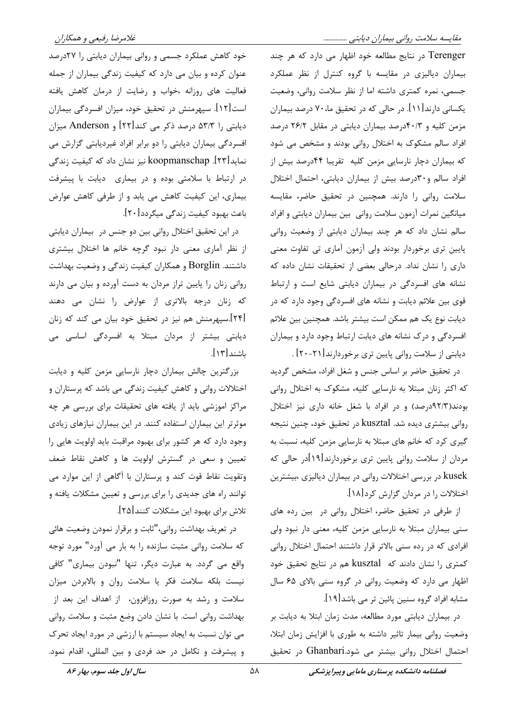Terenger در نتایج مطالعه خود اظهار می دارد که هر چند بیماران دیالیزی در مقایسه با گروه کنترل از نظر عملکرد جسمي، نمره كمترى داشته اما از نظر سلامت رواني، وضعيت یکسانی دارند[۱۱]. در حالی که در تحقیق ما،۷۰ درصد بیماران مزمن کلیه و ۴۰/۳درصد بیماران دیابتی در مقابل ۲۶/۲ درصد افراد سالم مشکوک به اختلال روانی بودند و مشخص می شود که بیماران دچار نارسایی مزمن کلیه تقریبا ۴۴درصد بیش از افراد سالم و٣٠درصد بيش از بيماران ديابتي، احتمال اختلال سلامت روانی را دارند. همچنین در تحقیق حاضر، مقایسه میانگین نمرات آزمون سلامت روانی بین بیماران دیابتی و افراد سالم نشان داد که هر چند بیماران دیابتی از وضعیت روانی پایین تری برخوردار بودند ولی آزمون آماری تی تفاوت معنی داری را نشان نداد. درحالی بعضی از تحقیقات نشان داده که نشانه های افسردگی در بیماران دیابتی شایع است و ارتباط قوی بین علائم دیابت و نشانه های افسردگی وجود دارد که در ديابت نوع يک هم ممکن است بيشتر باشد. همچنين بين علائم افسردگی و درک نشانه های دیابت ارتباط وجود دارد و بیماران ديابتي از سلامت رواني پايين تري برخوردارند[٢١-٢٠] .

در تحقیق حاضر بر اساس جنس و شغل افراد، مشخص گردید که اکثر زنان مبتلا به نارسایی کلیه، مشکوک به اختلال روانی بودند(۹۲/۳درصد) و در افراد با شغل خانه داری نیز اختلال روانی بیشتری دیده شد. kusztal در تحقیق خود، چنین نتیجه گیری کرد که خانم های مبتلا به نارسایی مزمن کلیه، نسبت به مردان از سلامت روانی پایین تری برخوردارند[۱۹]در حالی که kusek در بررسی اختلالات روانی در بیماران دیالیزی ،بیشترین اختلالات را در مردان گزارش کرد[۱۸].

از طرفی در تحقیق حاضر، اختلال روانی در بین رده های سنی بیماران مبتلا به نارسایی مزمن کلیه، معنی دار نبود ولی افرادی که در رده سنی بالاتر قرار داشتند احتمال اختلال روانی کمتری را نشان دادند که kusztal هم در نتایج تحقیق خود اظهار می دارد که وضعیت روانی در گروه سنی بالای ۶۵ سال مشابه افراد گروه سنین پائین تر می باشد[۱۹].

در بیماران دیابتی مورد مطالعه، مدت زمان ابتلا به دیابت بر وضعیت روانی بیمار تاثیر داشته به طوری با افزایش زمان ابتلا، احتمال اختلال روانی بیشتر می شود.Ghanbari در تحقیق

خود کاهش عملکرد جسمی و روانی بیماران دیابتی را ۲۷درصد عنوان کرده و بیان می دارد که کیفیت زندگی بیماران از جمله فعالیت های روزانه ،خواب و رضایت از درمان کاهش یافته است[۱۲]. سپهرمنش در تحقیق خود، میزان افسردگی بیماران دیابتی را ۵۳/۳ درصد ذکر می کند[۲۲] و Anderson میزان افسردگی بیماران دیابتی را دو برابر افراد غیردیابتی گزارش می نماید[۲۳]. koopmanschap نیز نشان داد که کیفیت زندگی در ارتباط با سلامتی بوده و در بیماری دیابت با پیشرفت بیماری، این کیفیت کاهش می یابد و از طرفی کاهش عوارض باعث بهبود کیفیت زندگی میگردد[۲۰].

در این تحقیق اختلال روانی بین دو جنس در بیماران دیابتی از نظر آماری معنی دار نبود گرچه خانم ها اختلال بیشتری داشتند. Borglin و همکاران کیفیت زندگی و وضعیت بهداشت روانی زنان را پایین تراز مردان به دست آورده و بیان می دارند که زنان درجه بالاتری از عوارض را نشان می دهند [۲۴].سپهرمنش هم نیز در تحقیق خود بیان می کند که زنان دیابتی بیشتر از مردان مبتلا به افسردگی اساسی می باشند[۱۳].

بزرگترین چالش بیماران دچار نارسایی مزمن کلیه و دیابت اختلالات روانی و کاهش کیفیت زندگی می باشد که پرستاران و مراکز اموزشی باید از یافته های تحقیقات برای بررسی هر چه موثرتر این بیماران استفاده کنند. در این بیماران نیازهای زیادی وجود دارد که هر کشور برای بهبود مراقبت باید اولویت هایی را تعیین و سعی در گسترش اولویت ها و کاهش نقاط ضعف وتقویت نقاط قوت کند و پرستاران با آگاهی از این موارد می توانند راه های جدیدی را برای بررسی و تعیین مشکلات یافته و تلاش براي بهبود اين مشكلات كنند[٢۵].

در تعریف بهداشت روانی،"ثابت و برقرار نمودن وضعیت هائی که سلامت روانی مثبت سازنده را به بار می آورد" مورد توجه واقع می گردد. به عبارت دیگر، تنها "نبودن بیماری" کافی نيست بلكه سلامت فكر يا سلامت روان و بالابردن ميزان سلامت و رشد به صورت روزافزون، از اهداف این بعد از بهداشت روانی است. با نشان دادن وضع مثبت و سلامت روانی می توان نسبت به ایجاد سیستم با ارزشی در مورد ایجاد تحرک و پیشرفت و تکامل در حد فردی و بین المللی، اقدام نمود.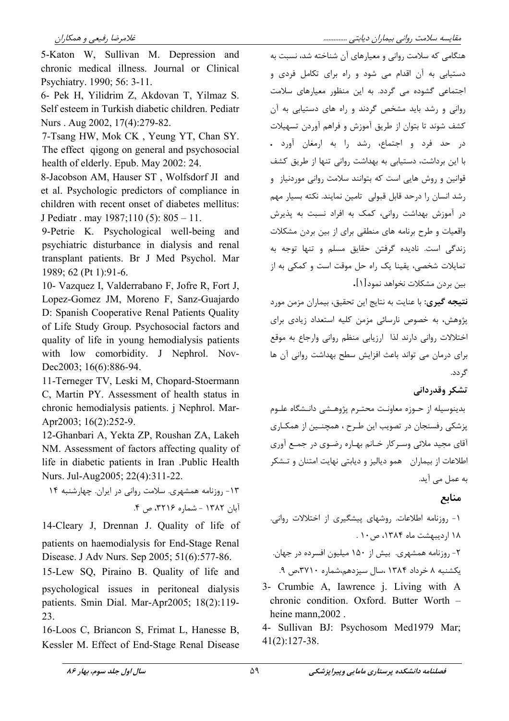5-Katon W. Sullivan M. Depression and chronic medical illness. Journal or Clinical Psychiatry. 1990; 56: 3-11.

6- Pek H, Yilidrim Z, Akdovan T, Yilmaz S. Self esteem in Turkish diabetic children. Pediatr Nurs. Aug 2002, 17(4):279-82.

7-Tsang HW, Mok CK, Yeung YT, Chan SY. The effect gigong on general and psychosocial health of elderly. Epub. May 2002: 24.

8-Jacobson AM, Hauser ST, Wolfsdorf JI and et al. Psychologic predictors of compliance in children with recent onset of diabetes mellitus: J Pediatr . may  $1987;110(5)$ :  $805 - 11$ .

9-Petrie K. Psychological well-being and psychiatric disturbance in dialysis and renal transplant patients. Br J Med Psychol. Mar 1989; 62 (Pt 1):91-6.

10- Vazquez I, Valderrabano F, Jofre R, Fort J, Lopez-Gomez JM, Moreno F, Sanz-Guajardo D: Spanish Cooperative Renal Patients Quality of Life Study Group. Psychosocial factors and quality of life in young hemodialysis patients with low comorbidity. J Nephrol. Nov-Dec2003; 16(6):886-94.

11-Terneger TV, Leski M, Chopard-Stoermann C, Martin PY. Assessment of health status in chronic hemodialysis patients. *i* Nephrol. Mar-Apr2003; 16(2):252-9.

12-Ghanbari A, Yekta ZP, Roushan ZA, Lakeh NM. Assessment of factors affecting quality of life in diabetic patients in Iran .Public Health Nurs. Jul-Aug2005; 22(4):311-22.

١٣- روزنامه همشهری. سلامت روانی در ایران. چهارشنبه ١۴ آبان ۱۳۸۲ - شماره ۳۲۱۶، ص ۴.

14-Cleary J, Drennan J. Quality of life of patients on haemodialysis for End-Stage Renal Disease. J Adv Nurs. Sep 2005; 51(6):577-86.

15-Lew SQ, Piraino B. Quality of life and psychological issues in peritoneal dialysis patients. Smin Dial. Mar-Apr2005; 18(2):119-23.

16-Loos C, Briancon S, Frimat L, Hanesse B, Kessler M. Effect of End-Stage Renal Disease مقایسه سلامت روانی بیماران دیابتی ..............

هنگامی که سلامت روانی و معیارهای آن شناخته شد، نسبت به دستیابی به آن اقدام می شود و راه برای تکامل فردی و اجتماعی گشوده می گردد. به این منظور معیارهای سلامت روانی و رشد باید مشخص گردند و راه های دستیابی به آن کشف شوند تا بتوان از طریق آموزش و فراهم آوردن تسهیلات در حد فرد و اجتماع، رشد را به ارمغان آورد . با این برداشت، دستیابی به بهداشت روانی تنها از طریق کشف قوانین و روش هایی است که بتوانند سلامت روانی موردنیاز و رشد انسان را درحد قابل قبولی تامین نمایند. نکته بسیار مهم در آموزش بهداشت روانی، کمک به افراد نسبت به پذیرش واقعیات و طرح برنامه های منطقی برای از بین بردن مشکلات زندگی است. نادیده گرفتن حقایق مسلم و تنها توجه به تمایلات شخصی، یقینا یک راه حل موقت است و کمکی به از بين بردن مشكلات نخواهد نمود[۱].

نتيجه گيري: با عنايت به نتايج اين تحقيق، بيماران مزمن مورد پژوهش، به خصوص نارسائی مزمن کلیه استعداد زیادی برای اختلالات روانی دارند لذا ارزیابی منظم روانی وارجاع به موقع برای درمان می تواند باعث افزایش سطح بهداشت روانی آن ها گ دد.

## تشکر وقدردانی

بدينوسيله از حـوزه معاونـت محتـرم پژوهـشى دانـشگاه علـوم پزشکی رفسنجان در تصویب این طـرح ، همچنــین از همکـاری آقای مجید ملائی وسـرکار خـانم بهـاره رضـوی در جمـع آوری اطلاعات از بیماران همو دیالیز و دیابتی نهایت امتنان و تـشکر به عمل می آید.

## منابع

یکشنبه ۸ خرداد ۱۳۸۴ ،سال سیزدهم،شماره ۳۷۱۰،ص ۹.

3- Crumbie A, Iawrence j. Living with A chronic condition. Oxford. Butter Worth heine mann, 2002.

4- Sullivan BJ: Psychosom Med1979 Mar;  $41(2):127-38.$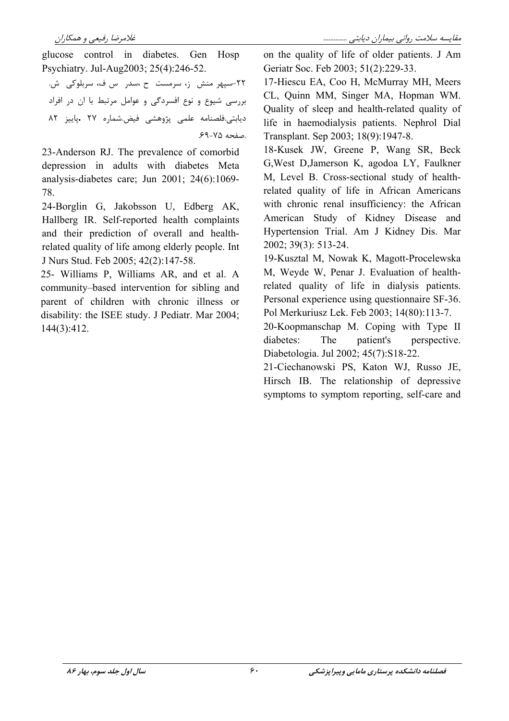glucose control in diabetes. Gen Hosp Psychiatry. Jul-Aug2003; 25(4):246-52.

٢٢-سيھ منش ;، سرمست ح ،سدر س ف، سربلوكى ش. بررسی شیوع و نوع افسردگی و عوامل مرتبط با ان در افراد ديابتي.فلصنامه علمي يژوهشي فيض شماره ٢٧ .ياييز ٨٢ .صفحه ۷۵-۶۹.

23-Anderson RJ. The prevalence of comorbid depression in adults with diabetes Meta analysis-diabetes care; Jun 2001; 24(6):1069-78.

24-Borglin G. Jakobsson U. Edberg AK. Hallberg IR. Self-reported health complaints and their prediction of overall and healthrelated quality of life among elderly people. Int J Nurs Stud. Feb 2005; 42(2):147-58.

25- Williams P, Williams AR, and et al. A community-based intervention for sibling and parent of children with chronic illness or disability: the ISEE study. J Pediatr. Mar 2004;  $144(3):412.$ 

on the quality of life of older patients. J Am Geriatr Soc. Feb 2003; 51(2):229-33.

17-Hiescu EA, Coo H. McMurray MH. Meers CL, Quinn MM, Singer MA, Hopman WM. Quality of sleep and health-related quality of life in haemodialysis patients. Nephrol Dial Transplant. Sep 2003; 18(9):1947-8.

18-Kusek JW, Greene P, Wang SR, Beck G, West D, Jamerson K, agodoa LY, Faulkner M, Level B. Cross-sectional study of healthrelated quality of life in African Americans with chronic renal insufficiency: the African American Study of Kidney Disease and Hypertension Trial. Am J Kidney Dis. Mar 2002; 39(3): 513-24.

19-Kusztal M, Nowak K, Magott-Procelewska M, Weyde W, Penar J. Evaluation of healthrelated quality of life in dialysis patients. Personal experience using questionnaire SF-36. Pol Merkuriusz Lek. Feb 2003; 14(80):113-7.

20-Koopmanschap M. Coping with Type II diabetes: The patient's perspective. Diabetologia. Jul 2002; 45(7):S18-22.

21-Ciechanowski PS, Katon WJ, Russo JE, Hirsch IB. The relationship of depressive symptoms to symptom reporting, self-care and